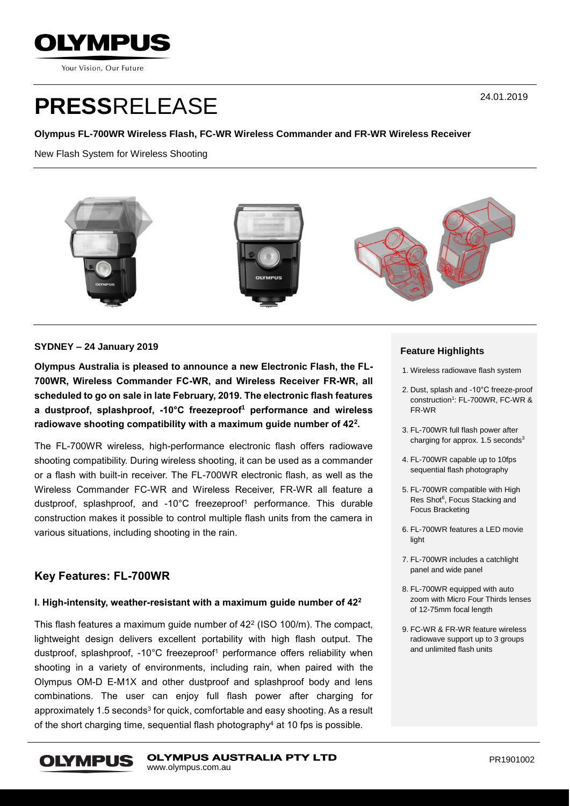

Your Vision, Our Future

# **PRESS**RELEASE

#### **Olympus FL-700WR Wireless Flash, FC-WR Wireless Commander and FR-WR Wireless Receiver**

New Flash System for Wireless Shooting



#### **SYDNEY – 24 January 2019**

**Olympus Australia is pleased to announce a new Electronic Flash, the FL-700WR, Wireless Commander FC-WR, and Wireless Receiver FR-WR, all scheduled to go on sale in late February, 2019. The electronic flash features a dustproof, splashproof, -10°C freezeproof<sup>1</sup> performance and wireless radiowave shooting compatibility with a maximum guide number of 42<sup>2</sup> .**

The FL-700WR wireless, high-performance electronic flash offers radiowave shooting compatibility. During wireless shooting, it can be used as a commander or a flash with built-in receiver. The FL-700WR electronic flash, as well as the Wireless Commander FC-WR and Wireless Receiver, FR-WR all feature a dustproof, splashproof, and -10°C freezeproof<sup>1</sup> performance. This durable construction makes it possible to control multiple flash units from the camera in various situations, including shooting in the rain.

## **Key Features: FL-700WR**

#### **I. High-intensity, weather-resistant with a maximum guide number of 42<sup>2</sup>**

This flash features a maximum guide number of 42<sup>2</sup> (ISO 100/m). The compact, lightweight design delivers excellent portability with high flash output. The dustproof, splashproof, -10°C freezeproof<sup>1</sup> performance offers reliability when shooting in a variety of environments, including rain, when paired with the Olympus OM-D E-M1X and other dustproof and splashproof body and lens combinations. The user can enjoy full flash power after charging for approximately 1.5 seconds<sup>3</sup> for quick, comfortable and easy shooting. As a result of the short charging time, sequential flash photography<sup>4</sup> at 10 fps is possible.

#### **Feature Highlights**

- 1. Wireless radiowave flash system
- 2. Dust, splash and -10°C freeze-proof construction 1 : FL-700WR, FC-WR & FR-WR
- 3. FL-700WR full flash power after charging for approx.  $1.5$  seconds<sup>3</sup>
- 4. FL-700WR capable up to 10fps sequential flash photography
- 5. FL-700WR compatible with High Res Shot<sup>6</sup>, Focus Stacking and Focus Bracketing
- 6. FL-700WR features a LED movie light
- 7. FL-700WR includes a catchlight panel and wide panel
- 8. FL-700WR equipped with auto zoom with Micro Four Thirds lenses of 12-75mm focal length
- 9. FC-WR & FR-WR feature wireless radiowave support up to 3 groups and unlimited flash units

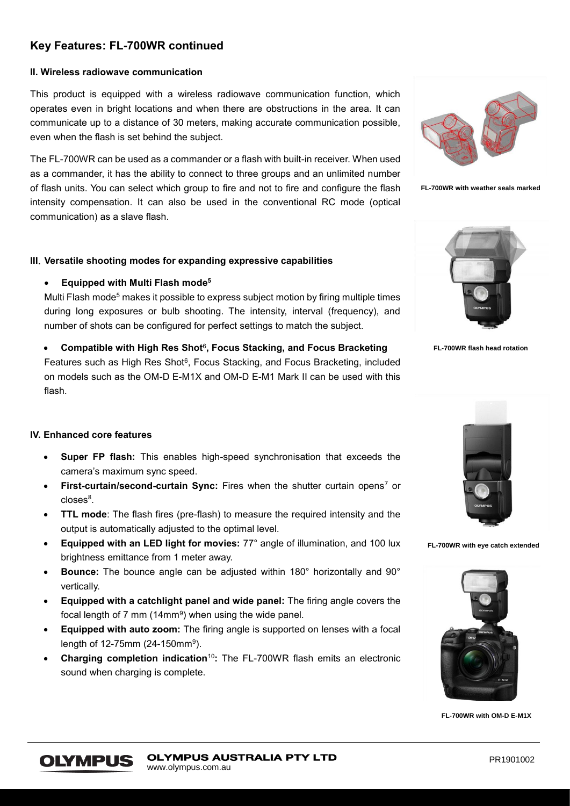# **Key Features: FL-700WR continued**

## **II. Wireless radiowave communication**

This product is equipped with a wireless radiowave communication function, which operates even in bright locations and when there are obstructions in the area. It can communicate up to a distance of 30 meters, making accurate communication possible, even when the flash is set behind the subject.

The FL-700WR can be used as a commander or a flash with built-in receiver. When used as a commander, it has the ability to connect to three groups and an unlimited number of flash units. You can select which group to fire and not to fire and configure the flash intensity compensation. It can also be used in the conventional RC mode (optical communication) as a slave flash.

#### **III**.**Versatile shooting modes for expanding expressive capabilities**

#### • **Equipped with Multi Flash mode<sup>5</sup>**

Multi Flash mode<sup>5</sup> makes it possible to express subject motion by firing multiple times during long exposures or bulb shooting. The intensity, interval (frequency), and number of shots can be configured for perfect settings to match the subject.



**FL-700WR with weather seals marked**



**FL-700WR flash head rotation** 

**• Compatible with High Res Shot<sup>6</sup>, Focus Stacking, and Focus Bracketing** Features such as High Res Shot<sup>6</sup>, Focus Stacking, and Focus Bracketing, included on models such as the OM-D E-M1X and OM-D E-M1 Mark II can be used with this flash.

#### **IV. Enhanced core features**

**OLYMPUS** 

- **Super FP flash:** This enables high-speed synchronisation that exceeds the camera's maximum sync speed.
- **First-curtain/second-curtain Sync:** Fires when the shutter curtain opens<sup>7</sup> or closes<sup>8</sup>.
- **TTL mode**: The flash fires (pre-flash) to measure the required intensity and the output is automatically adjusted to the optimal level.
- **Equipped with an LED light for movies:** 77° angle of illumination, and 100 lux brightness emittance from 1 meter away.
- **Bounce:** The bounce angle can be adjusted within 180° horizontally and 90° vertically.
- **Equipped with a catchlight panel and wide panel:** The firing angle covers the focal length of 7 mm (14mm $9$ ) when using the wide panel.
- **Equipped with auto zoom:** The firing angle is supported on lenses with a focal length of 12-75mm (24-150mm<sup>9</sup>).
- **Charging completion indication<sup>10</sup>:** The FL-700WR flash emits an electronic sound when charging is complete.



**FL-700WR with eye catch extended**



**FL-700WR with OM-D E-M1X**

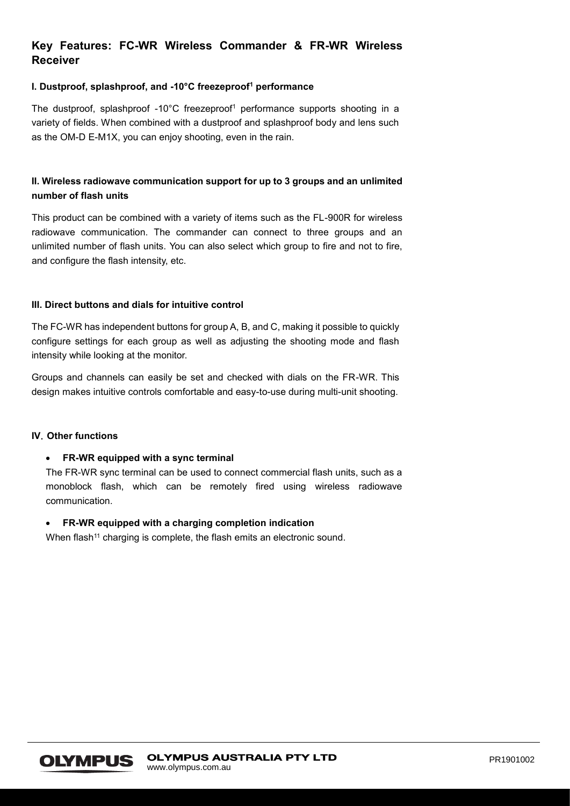# **Key Features: FC-WR Wireless Commander & FR-WR Wireless Receiver**

#### **I. Dustproof, splashproof, and -10°C freezeproof<sup>1</sup> performance**

The dustproof, splashproof -10 $^{\circ}$ C freezeproof<sup>1</sup> performance supports shooting in a variety of fields. When combined with a dustproof and splashproof body and lens such as the OM-D E-M1X, you can enjoy shooting, even in the rain.

## **II. Wireless radiowave communication support for up to 3 groups and an unlimited number of flash units**

This product can be combined with a variety of items such as the FL-900R for wireless radiowave communication. The commander can connect to three groups and an unlimited number of flash units. You can also select which group to fire and not to fire, and configure the flash intensity, etc.

#### **III. Direct buttons and dials for intuitive control**

The FC-WR has independent buttons for group A, B, and C, making it possible to quickly configure settings for each group as well as adjusting the shooting mode and flash intensity while looking at the monitor.

Groups and channels can easily be set and checked with dials on the FR-WR. This design makes intuitive controls comfortable and easy-to-use during multi-unit shooting.

#### **IV**.**Other functions**

#### • **FR-WR equipped with a sync terminal**

The FR-WR sync terminal can be used to connect commercial flash units, such as a monoblock flash, which can be remotely fired using wireless radiowave communication.

#### • **FR-WR equipped with a charging completion indication**

When flash<sup>11</sup> charging is complete, the flash emits an electronic sound.